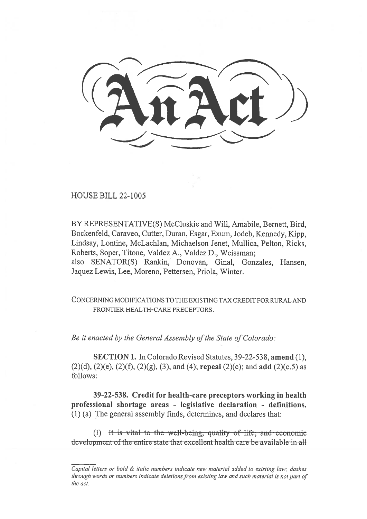# HOUSE BILL 22-1005

BY REPRESENTATIVE(S) McCluskie and Will, Amabile, Bernett, Bird, Bockenfeld, Caraveo, Cutter, Duran, Esgar, Exum, Jodeh, Kennedy, Kipp, Lindsay, Lontine, McLachlan, Michaelson Jenet, Mullica, Pelton, Ricks, Roberts, Soper, Titone, Valdez A., Valdez D., Weissman; also SENATOR(S) Rankin, Donovan, Ginal, Gonzales, Hansen, Jaquez Lewis, Lee, Moreno, Pettersen, Priola, Winter.

CONCERNING MODIFICATIONS TO THE EXISTING TAX CREDIT FOR RURAL AND FRONTIER HEALTH-CARE PRECEPTORS.

Be it enacted by the General Assembly of the State of Colorado:

SECTION 1. In Colorado Revised Statutes, 39-22-538, amend (1),  $(2)(d)$ ,  $(2)(e)$ ,  $(2)(f)$ ,  $(2)(g)$ ,  $(3)$ , and  $(4)$ ; repeal  $(2)(c)$ ; and add  $(2)(c.5)$  as follows:

39-22-538. Credit for health-care preceptors working in health professional shortage areas - legislative declaration - definitions. (1) (a) The general assembly finds, determines, and declares that:

 $(I)$  It is vital to the well-being, quality of life, and economic development of the entire state-that-excellent-health-care-be-available-in-all

Capital letters or bold & italic numbers indicate new material added to existing law; dashes through words or numbers indicate deletions from existing law and such material is not part of the act.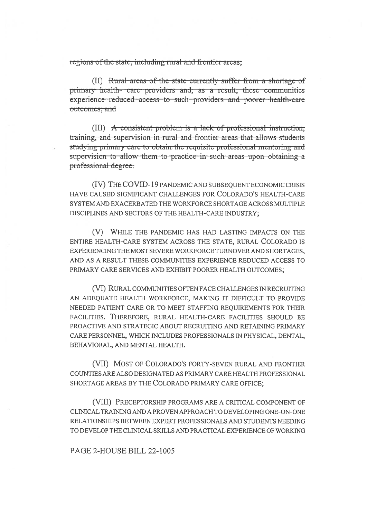regions of the state, including rural and frontier areas;

(II) Rural areas of the state currently suffer from a shortage of primary health- care providers and, as a result, these communities experience reduced access to such providers and poorer health-care outcomes; and

(III) A consistent problem is a lack of professional instruction, training, and supervision in rural and frontier areas that allows students studying primary care to obtain the requisite professional mentoring and supervision to allow them to practice in such areas upon obtaining a professional degree.

(IV) THE COVID-19 PANDEMIC AND SUBSEQUENT ECONOMIC CRISIS HAVE CAUSED SIGNIFICANT CHALLENGES FOR COLORADO'S HEALTH-CARE SYSTEM AND EXACERBATED THE WORKFORCE SHORTAGE ACROSS MULTIPLE DISCIPLINES AND SECTORS OF THE HEALTH-CARE INDUSTRY:

(V) WHILE THE PANDEMIC HAS HAD LASTING IMPACTS ON THE ENTIRE HEALTH-CARE SYSTEM ACROSS THE STATE, RURAL COLORADO IS EXPERIENCING THE MOST SEVERE WORKFORCE TURNOVER AND SHORTAGES, AND AS A RESULT THESE COMMUNITIES EXPERIENCE REDUCED ACCESS TO PRIMARY CARE SERVICES AND EXHIBIT POORER HEALTH OUTCOMES:

(VI) RURAL COMMUNITIES OFTEN FACE CHALLENGES IN RECRUITING AN ADEQUATE HEALTH WORKFORCE, MAKING IT DIFFICULT TO PROVIDE NEEDED PATIENT CARE OR TO MEET STAFFING REOUIREMENTS FOR THEIR FACILITIES. THEREFORE, RURAL HEALTH-CARE FACILITIES SHOULD BE PROACTIVE AND STRATEGIC ABOUT RECRUITING AND RETAINING PRIMARY CARE PERSONNEL, WHICH INCLUDES PROFESSIONALS IN PHYSICAL, DENTAL, BEHAVIORAL, AND MENTAL HEALTH.

(VII) MOST OF COLORADO'S FORTY-SEVEN RURAL AND FRONTIER COUNTIES ARE ALSO DESIGNATED AS PRIMARY CARE HEALTH PROFESSIONAL SHORTAGE AREAS BY THE COLORADO PRIMARY CARE OFFICE;

(VIII) PRECEPTORSHIP PROGRAMS ARE A CRITICAL COMPONENT OF CLINICAL TRAINING AND A PROVEN APPROACH TO DEVELOPING ONE-ON-ONE RELATIONSHIPS BETWEEN EXPERT PROFESSIONALS AND STUDENTS NEEDING TO DEVELOP THE CLINICAL SKILLS AND PRACTICAL EXPERIENCE OF WORKING

PAGE 2-HOUSE BILL 22-1005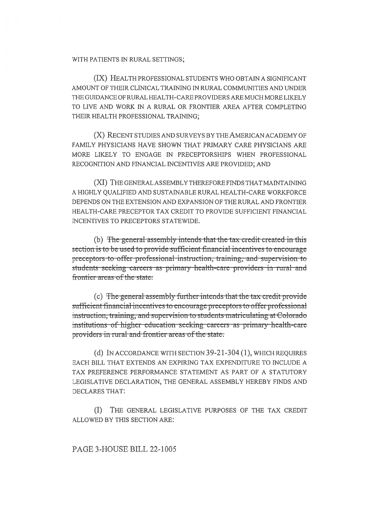#### WITH PATIENTS IN RURAL SETTINGS:

(IX) HEALTH PROFESSIONAL STUDENTS WHO OBTAIN A SIGNIFICANT AMOUNT OF THEIR CLINICAL TRAINING IN RURAL COMMUNITIES AND UNDER THE GUIDANCE OF RURAL HEALTH-CARE PROVIDERS ARE MUCH MORE LIKELY TO LIVE AND WORK IN A RURAL OR FRONTIER AREA AFTER COMPLETING THEIR HEALTH PROFESSIONAL TRAINING:

(X) RECENT STUDIES AND SURVEYS BY THE AMERICAN ACADEMY OF FAMILY PHYSICIANS HAVE SHOWN THAT PRIMARY CARE PHYSICIANS ARE MORE LIKELY TO ENGAGE IN PRECEPTORSHIPS WHEN PROFESSIONAL RECOGNITION AND FINANCIAL INCENTIVES ARE PROVIDED; AND

(XI) THE GENERAL ASSEMBLY THEREFORE FINDS THAT MAINTAINING A HIGHLY QUALIFIED AND SUSTAINABLE RURAL HEALTH-CARE WORKFORCE DEPENDS ON THE EXTENSION AND EXPANSION OF THE RURAL AND FRONTIER HEALTH-CARE PRECEPTOR TAX CREDIT TO PROVIDE SUFFICIENT FINANCIAL INCENTIVES TO PRECEPTORS STATEWIDE.

(b) The general assembly intends that the tax credit created in this section is to be used to provide sufficient financial incentives to encourage preceptors to offer professional instruction, training, and supervision to students seeking careers as primary health-care providers in rural and frontier areas of the state:

(c) The general assembly further intends that the tax credit provide sufficient financial incentives to encourage preceptors to offer professional instruction, training, and supervision to students matriculating at Colorado institutions of higher education seeking careers as primary health-care providers in rural and frontier areas of the state.

(d) IN ACCORDANCE WITH SECTION 39-21-304 (1), WHICH REQUIRES EACH BILL THAT EXTENDS AN EXPIRING TAX EXPENDITURE TO INCLUDE A TAX PREFERENCE PERFORMANCE STATEMENT AS PART OF A STATUTORY LEGISLATIVE DECLARATION, THE GENERAL ASSEMBLY HEREBY FINDS AND **DECLARES THAT:** 

(I) THE GENERAL LEGISLATIVE PURPOSES OF THE TAX CREDIT ALLOWED BY THIS SECTION ARE:

## PAGE 3-HOUSE BILL 22-1005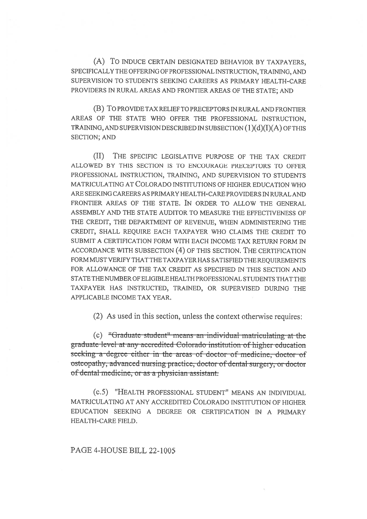(A) To INDUCE CERTAIN DESIGNATED BEHAVIOR BY TAXPAYERS, SPECIFICALLY THE OFFERING OF PROFESSIONAL INSTRUCTION, TRAINING, AND SUPERVISION TO STUDENTS SEEKING CAREERS AS PRIMARY HEALTH-CARE PROVIDERS IN RURAL AREAS AND FRONTIER AREAS OF THE STATE; AND

(B) To PROVIDE TAX RELIEF TO PRECEPTORS IN RURAL AND FRONTIER AREAS OF THE STATE WHO OFFER THE PROFESSIONAL INSTRUCTION, TRAINING, AND SUPERVISION DESCRIBED IN SUBSECTION (1)(d)(I)(A) OF THIS SECTION; AND

(II) THE SPECIFIC LEGISLATIVE PURPOSE OF THE TAX CREDIT ALLOWED BY THIS SECTION IS TO ENCOURAGE PRECEPTORS TO OFFER PROFESSIONAL INSTRUCTION, TRAINING, AND SUPERVISION TO STUDENTS MATRICULATING AT COLORADO INSTITUTIONS OF HIGHER EDUCATION WHO ARE SEEKING CAREERS AS PRIMARY HEALTH-CARE PROVIDERS IN RURAL AND FRONTIER AREAS OF THE STATE. IN ORDER TO ALLOW THE GENERAL ASSEMBLY AND THE STATE AUDITOR TO MEASURE THE EFFECTIVENESS OF THE CREDIT, THE DEPARTMENT OF REVENUE, WHEN ADMINISTERING THE CREDIT, SHALL REQUIRE EACH TAXPAYER WHO CLAIMS THE CREDIT TO SUBMIT A CERTIFICATION FORM WITH EACH INCOME TAX RETURN FORM IN ACCORDANCE WITH SUBSECTION (4) OF THIS SECTION. THE CERTIFICATION FORM MUST VERIFY THAT THE TAXPAYER HAS SATISFIED THE REQUIREMENTS FOR ALLOWANCE OF THE TAX CREDIT AS SPECIFIED IN THIS SECTION AND STATE THE NUMBER OF ELIGIBLE HEALTH PROFESSIONAL STUDENTS THAT THE TAXPAYER HAS INSTRUCTED, TRAINED, OR SUPERVISED DURING THE APPLICABLE INCOME TAX YEAR.

(2) As used in this section, unless the context otherwise requires:

 $(c)$  "Graduate student" means an individual matriculating at the graduate-level at any accredited-Colorado institution of higher education secking a degree either in the areas of doctor of medicine, doctor of osteopathy, advanced nursing-practice, doctor of dental-surgery, or doctor<br>of dental-medicine, or as a physician assistant.

(c.5) "HEALTH PROFESSIONAL STUDENT" MEANS AN INDIVIDUAL MATRICULATING AT ANY ACCREDITED COLORADO INSTITUTION OF HIGHER EDUCATION SEEKING A DEGREE OR CERTIFICATION IN A PRIMARY HEALTH-CARE FIELD.

### PAGE 4-HOUSE BILL 22-1005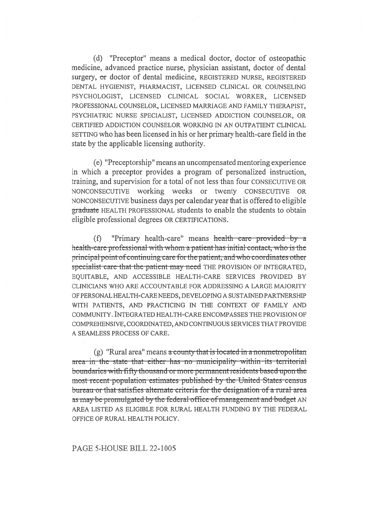(d) "Preceptor" means a medical doctor, doctor of osteopathic medicine, advanced practice nurse, physician assistant, doctor of dental surgery, or doctor of dental medicine, REGISTERED NURSE, REGISTERED DENTAL HYGIENIST, PHARMACIST, LICENSED CLINICAL OR COUNSELING PSYCHOLOGIST, LICENSED CLINICAL SOCIAL WORKER, LICENSED PROFESSIONAL COUNSELOR, LICENSED MARRIAGE AND FAMILY THERAPIST, PSYCHIATRIC NURSE SPECIALIST, LICENSED ADDICTION COUNSELOR, OR CERTIFIED ADDICTION COUNSELOR WORKING IN AN OUTPATIENT CLINICAL SETTING who has been licensed in his or her primary health-care field in the state by the applicable licensing authority.

(e) "Preceptorship" means an uncompensated mentoring experience in which a preceptor provides a program of personalized instruction, training, and supervision for a total of not less than four CONSECUTIVE OR NONCONSECUTIVE working weeks or twenty CONSECUTIVE OR NONCONSECUTIVE business days per calendar year that is offered to eligible graduatc HEALTH PROFESSIONAL students to enable the students to obtain eligible professional degrees OR CERTIFICATIONS.

(f) "Primary health-care" means health care provided by a health-care professional with whom a patient has initial contact, who is the principal point of continuing care for the patient, and who coordinates other specialist care-that the patient may need THE PROVISION OF INTEGRATED, EQUITABLE, AND ACCESSIBLE HEALTH-CARE SERVICES PROVIDED BY CLINICIANS WHO ARE ACCOUNTABLE FOR ADDRESSING A LARGE MAJORITY OF PERSONAL HEALTH-CARE NEEDS, DEVELOPING A SUSTAINED PARTNERSHIP WITH PATIENTS, AND PRACTICING IN THE CONTEXT OF FAMILY AND COMMUNITY. INTEGRATED HEALTH-CARE ENCOMPASSES THE PROVISION OF COMPREHENSIVE, COORDINATED, AND CONTINUOUS SERVICES THAT PROVIDE A SEAMLESS PROCESS OF CARE.

(g) "Rural area" means  $\alpha$  county that is located in a nonmetropolitan area in the state that either has no municipality within-its territorial boundaries with fifty thousand or more permanent residents based upon the most-recent-population estimates-published-by-the-United-States-census bureau or that satisfies alternate criteria for the designation of a rural area as may be promulgated by the federal office of management and budget AN AREA LISTED AS ELIGIBLE FOR RURAL HEALTH FUNDING BY THE FEDERAL OFFICE OF RURAL HEALTH POLICY.

## PAGE 5-HOUSE BILL 22-1005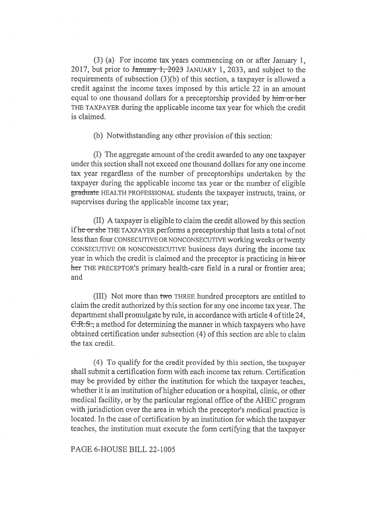(3) (a) For income tax years commencing on or after January 1, 2017, but prior to  $\frac{1}{2023}$  JANUARY 1, 2033, and subject to the requirements of subsection (3)(b) of this section, a taxpayer is allowed a credit against the income taxes imposed by this article 22 in an amount equal to one thousand dollars for a preceptorship provided by him-or-her THE TAXPAYER during the applicable income tax year for which the credit is claimed.

(b) Notwithstanding any other provision of this section:

(I) The aggregate amount of the credit awarded to any one taxpayer under this section shall not exceed one thousand dollars for any one income tax year regardless of the number of preceptorships undertaken by the taxpayer during the applicable income tax year or the number of eligible graduatc HEALTH PROFESSIONAL students the taxpayer instructs, trains, or supervises during the applicable income tax year;

(II) A taxpayer is eligible to claim the credit allowed by this section if he or she THE TAXPAYER performs a preceptorship that lasts a total of not less than four CONSECUTIVE OR NONCONSECUTIVE working weeks or twenty CONSECUTIVE OR NONCONSECUTIVE business days during the income tax year in which the credit is claimed and the preceptor is practicing in his or her THE PRECEPTOR'S primary health-care field in a rural or frontier area; and

(III) Not more than two THREE hundred preceptors are entitled to claim the credit authorized by this section for any one income tax year. The department shall promulgate by rule, in accordance with article 4 of title 24, C.R.S., a method for determining the manner in which taxpayers who have obtained certification under subsection (4) of this section are able to claim the tax credit.

(4) To qualify for the credit provided by this section, the taxpayer shall submit a certification form with each income tax return. Certification may be provided by either the institution for which the taxpayer teaches, whether it is an institution of higher education or a hospital, clinic, or other medical facility, or by the particular regional office of the AHEC program with jurisdiction over the area in which the preceptor's medical practice is located. In the case of certification by an institution for which the taxpayer teaches, the institution must execute the form certifying that the taxpayer

### PAGE 6-HOUSE BILL 22-1005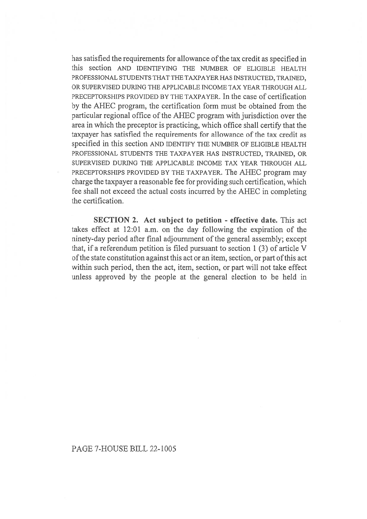has satisfied the requirements for allowance of the tax credit as specified in this section AND IDENTIFYING THE NUMBER OF ELIGIBLE HEALTH PROFESSIONAL STUDENTS THAT THE TAXPAYER HAS INSTRUCTED, TRAINED, OR SUPERVISED DURING THE APPLICABLE INCOME TAX YEAR THROUGH ALL PRECEPTORSHIPS PROVIDED BY THE TAXPAYER. In the case of certification by the AHEC program, the certification form must be obtained from the particular regional office of the AHEC program with jurisdiction over the area in which the preceptor is practicing, which office shall certify that the taxpayer has satisfied the requirements for allowance of the tax credit as specified in this section AND IDENTIFY THE NUMBER OF ELIGIBLE HEALTH PROFESSIONAL STUDENTS THE TAXPAYER HAS INSTRUCTED, TRAINED, OR SUPERVISED DURING THE APPLICABLE INCOME TAX YEAR THROUGH ALL PRECEPTORSHIPS PROVIDED BY THE TAXPAYER. The AHEC program may charge the taxpayer a reasonable fee for providing such certification, which fee shall not exceed the actual costs incurred by the AHEC in completing the certification.

SECTION 2. Act subject to petition - effective date. This act takes effect at 12:01 a.m. on the day following the expiration of the ninety-day period after final adjournment of the general assembly; except that, if a referendum petition is filed pursuant to section 1 (3) of article V of the state constitution against this act or an item, section, or part of this act within such period, then the act, item, section, or part will not take effect unless approved by the people at the general election to be held in

## PAGE 7-HOUSE BILL 22-1005